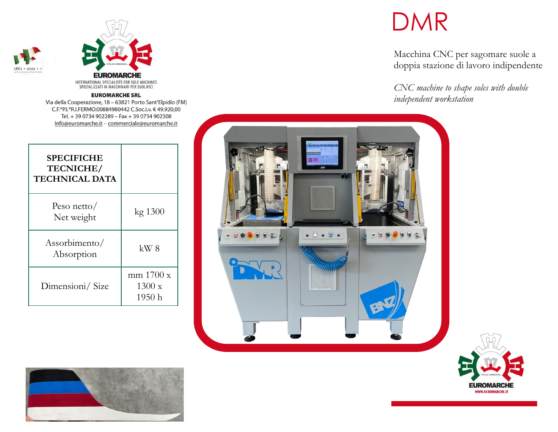



#### **EUROMARCHE SRL**

Via della Cooperazione, 18 - 63821 Porto Sant'Elpidio (FM) C.F.\*P.I.\*R.I.FERMO:00884980442 C.Soc.i.v. € 49.920,00 Tel. + 39 0734 902289 - Fax + 39 0734 902308 Info@euromarche.it - commerciale@euromarche.it

| <b>SPECIFICHE</b><br>TECNICHE/<br><b>TECHNICAL DATA</b> |                                          |
|---------------------------------------------------------|------------------------------------------|
| Peso netto/<br>Net weight                               | kg 1300                                  |
| Assorbimento/<br>Absorption                             | $kW_8$                                   |
| Dimensioni/Size                                         | mm 1700 x<br>$1300 \mathrm{~x}$<br>1950h |

# DMR

Macchina CNC per sagomare suole a doppia stazione di lavoro indipendente

*CNC machine to shape soles with double independent workstation*